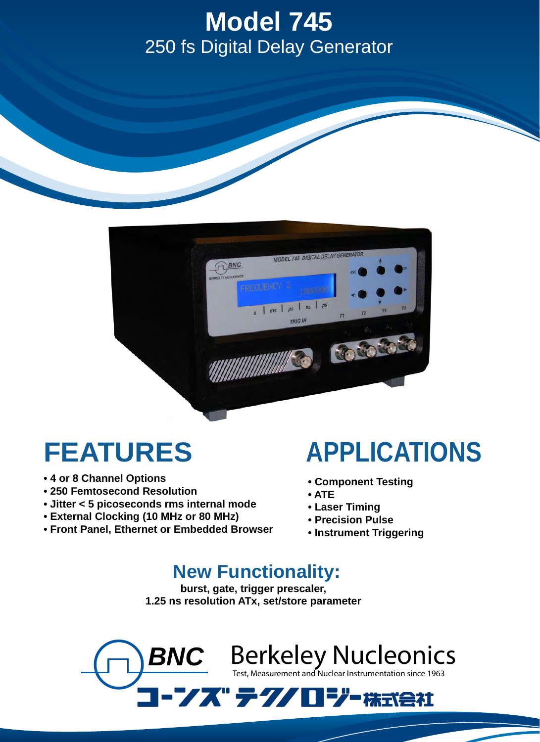## **Model 745 Series** 250 fs Digital Delay Generator **Model 745**



## **FEATURES**

- **4 or 8 Channel Options**
- **250 Femtosecond Resolution**
- **Jitter < 5 picoseconds rms internal mode**
- **External Clocking (10 MHz or 80 MHz)**
- **Front Panel, Ethernet or Embedded Browser**

## **APPLICATIONS**

- **Component Testing**
- **ATE**
- **Laser Timing**
- **Precision Pulse**
- **Instrument Triggering**

## **New Functionality:**

**burst, gate, trigger prescaler, 1.25 ns resolution ATx, set/store parameter** 

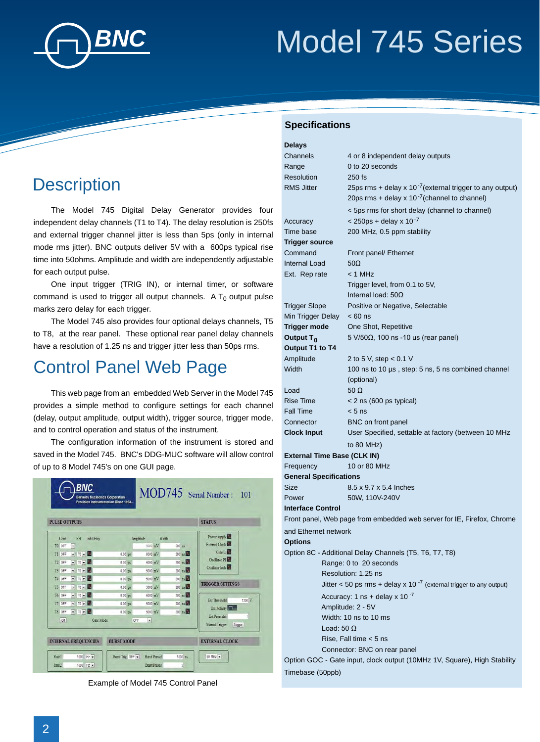

# *BNC* Model 745 Series Model 745 Series

### **Description**

The Model 745 Digital Delay Generator provides four independent delay channels (T1 to T4). The delay resolution is 250fs and external trigger channel jitter is less than 5ps (only in internal mode rms jitter). BNC outputs deliver 5V with a 600ps typical rise time into 50ohms. Amplitude and width are independently adjustable for each output pulse.

One input trigger (TRIG IN), or internal timer, or software command is used to trigger all output channels. A  ${\mathsf T}_0$  output pulse marks zero delay for each trigger.

The Model 745 also provides four optional delays channels, T5 to T8, at the rear panel. These optional rear panel delay channels have a resolution of 1.25 ns and trigger jitter less than 50ps rms.

### Control Panel Web Page

This web page from an embedded Web Server in the Model 745 provides a simple method to configure settings for each channel (delay, output amplitude, output width), trigger source, trigger mode, and to control operation and status of the instrument.

The configuration information of the instrument is stored and saved in the Model 745. BNC's DDG-MUC software will allow control of up to 8 Model 745's on one GUI page.

|        | <b>PULSE OUTPUTS</b>             |                             |                   |                                    |       |                         | <b>STATUS</b>                          |
|--------|----------------------------------|-----------------------------|-------------------|------------------------------------|-------|-------------------------|----------------------------------------|
| Conf   | Ref                              | <b>Inh Delay</b>            |                   | Amplitude                          | Width |                         | Power supply                           |
| TO OFF | $\blacksquare$                   |                             |                   | 5000 mV                            |       | 500 ms                  | External Clock                         |
| T1 OFF | $\bullet$ TO $\bullet$ $\bullet$ |                             | $0.00$ ps         | 5000 mV                            |       | $200$ ns $\frac{1}{20}$ | Gate in                                |
| T2 OFF | $-170 - 2$                       |                             | $0.00$ ps         | 5000 mV                            |       | $200$ ms $\blacksquare$ | Oscillator PI                          |
| T3 OFF | $-170 - 2$                       |                             | $0.00$ ps         | 5000 mV                            |       | 200 ns                  | Oscillator lock                        |
| T4 OFF | $-170 - 2$                       |                             | $000$ ps          | 5000 mV                            |       | $200$ ms $\blacksquare$ |                                        |
| T5 OFF | $-170 - 24$                      |                             | $0.00$ ps         | 5000 mV                            |       | $200$ ns $\blacksquare$ | <b>TRIGGER SETTINGS</b>                |
| T6 OFF | $\bullet$ TO $\bullet$ M         |                             | $0.00$ ps         | $5000$ mV                          |       | $200$ ns $\blacksquare$ |                                        |
| IT OFF | $-1$ TO $-1$                     |                             | $0.00$ ps         | $5000$ mV                          |       | 200 ns                  | Ext Threshold<br>1200 <sup>V</sup>     |
| T8 OFF | $\blacksquare$ TO $\blacksquare$ |                             | $000$ ps          | $5001$ mV                          |       | $200$ ns                | Ext Polarity                           |
| Of     |                                  | Gate Mode                   |                   | $\left  \mathbf{r} \right $<br>OFF |       |                         | Manual Trigger<br>Trigger              |
|        |                                  | <b>INTERNAL FREQUENCIES</b> | <b>BURST MODE</b> |                                    |       |                         | Ext Prescaler<br><b>EXTERNAL CLOCK</b> |

Example of Model 745 Control Panel

#### **Specifications**

| <b>Delays</b>                 |                                                                          |  |  |  |
|-------------------------------|--------------------------------------------------------------------------|--|--|--|
| Channels                      | 4 or 8 independent delay outputs                                         |  |  |  |
| Range                         | 0 to 20 seconds                                                          |  |  |  |
| Resolution                    | $250$ fs                                                                 |  |  |  |
| <b>RMS Jitter</b>             | 25ps rms + delay x $10^{-7}$ (external trigger to any output)            |  |  |  |
|                               | 20ps rms + delay x $10^{-7}$ (channel to channel)                        |  |  |  |
|                               | < 5ps rms for short delay (channel to channel)                           |  |  |  |
| Accuracy                      | $<$ 250ps + delay x 10 <sup>-7</sup>                                     |  |  |  |
| Time base                     | 200 MHz, 0.5 ppm stability                                               |  |  |  |
| Trigger source                |                                                                          |  |  |  |
| Command                       | Front panel/ Ethernet                                                    |  |  |  |
| Internal Load                 | $50\Omega$                                                               |  |  |  |
| Ext. Rep rate                 | $<$ 1 MHz                                                                |  |  |  |
|                               | Trigger level, from 0.1 to 5V,                                           |  |  |  |
|                               | Internal load: $50\Omega$                                                |  |  |  |
| <b>Trigger Slope</b>          | Positive or Negative, Selectable                                         |  |  |  |
| Min Trigger Delay             | $< 60$ ns                                                                |  |  |  |
| <b>Trigger mode</b>           | One Shot, Repetitive                                                     |  |  |  |
| Output T <sub>0</sub>         | $5 \text{ V} / 50 \Omega$ , 100 ns -10 us (rear panel)                   |  |  |  |
| Output T1 to T4               |                                                                          |  |  |  |
| Amplitude                     | 2 to 5 V, step $< 0.1$ V                                                 |  |  |  |
| Width                         | 100 ns to 10 µs, step: 5 ns, 5 ns combined channel                       |  |  |  |
|                               | (optional)                                                               |  |  |  |
| Load                          | 50 $\Omega$                                                              |  |  |  |
| Rise Time                     | $<$ 2 ns (600 ps typical)                                                |  |  |  |
| Fall Time                     | $< 5$ ns                                                                 |  |  |  |
| Connector                     | BNC on front panel                                                       |  |  |  |
| <b>Clock Input</b>            | User Specified, settable at factory (between 10 MHz                      |  |  |  |
|                               | to 80 MHz)                                                               |  |  |  |
|                               | External Time Base (CLK IN)                                              |  |  |  |
| Frequency                     | 10 or 80 MHz                                                             |  |  |  |
| <b>General Specifications</b> | 8.5 x 9.7 x 5.4 Inches                                                   |  |  |  |
| Size<br>Power                 |                                                                          |  |  |  |
| Interface Control             | 50W, 110V-240V                                                           |  |  |  |
|                               | Front panel, Web page from embedded web server for IE, Firefox, Chrome   |  |  |  |
|                               |                                                                          |  |  |  |
| and Ethernet network          |                                                                          |  |  |  |
| <b>Options</b>                | Option 8C - Additional Delay Channels (T5, T6, T7, T8)                   |  |  |  |
|                               |                                                                          |  |  |  |
|                               | Range: 0 to 20 seconds<br>Resolution: 1.25 ns                            |  |  |  |
|                               | Jitter < 50 ps rms + delay x 10 $^{-7}$ (external trigger to any output) |  |  |  |
|                               | Accuracy: 1 $ns$ + delay x 10 $^{-7}$                                    |  |  |  |
|                               | Amplitude: 2 - 5V                                                        |  |  |  |
|                               | Width: 10 ns to 10 ms                                                    |  |  |  |
|                               | Load: 50 $\Omega$                                                        |  |  |  |
|                               | Rise, Fall time $<$ 5 ns                                                 |  |  |  |
|                               | Connector: BNC on rear panel                                             |  |  |  |
|                               | Option GOC - Gate input, clock output (10MHz 1V, Square), High Stability |  |  |  |
| Timebase (50ppb)              |                                                                          |  |  |  |
|                               |                                                                          |  |  |  |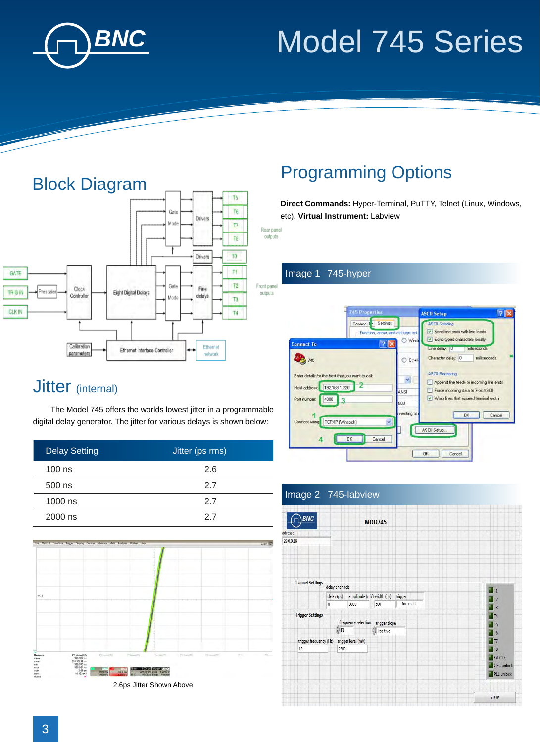

# *BNC* Model 745 Series Model 745 Series



## Programming Options

**Direct Commands:** Hyper-Terminal, PuTTY, Telnet (Linux, Windows, etc). **Virtual Instrument:** Labview

Rear panel outputs

#### Image 1 745-hyper



### Jitter (internal)

The Model 745 offers the worlds lowest jitter in a programmable digital delay generator. The jitter for various delays is shown below:

| <b>Delay Setting</b> | Jitter (ps rms) |
|----------------------|-----------------|
| $100$ ns             | 2.6             |
| $500$ ns             | 27              |
| $1000$ ns            | 27              |
| 2000 ns              | 27              |



2.6ps Jitter Shown Above

#### Image 2 745-labview

| <b>BNC</b>                                   |                |                     |                           |                |                    |  |
|----------------------------------------------|----------------|---------------------|---------------------------|----------------|--------------------|--|
|                                              |                |                     | <b>MOD745</b>             |                |                    |  |
| adresse                                      |                |                     |                           |                |                    |  |
| 99.0.0.18                                    |                |                     |                           |                |                    |  |
|                                              |                |                     |                           |                |                    |  |
|                                              |                |                     |                           |                |                    |  |
|                                              |                |                     |                           |                |                    |  |
|                                              |                |                     |                           |                |                    |  |
|                                              |                |                     |                           |                |                    |  |
| <b>Channel Settings</b>                      | delay channels |                     |                           |                |                    |  |
|                                              |                |                     |                           | $\blacksquare$ |                    |  |
|                                              | delay (ps)     |                     | amplitude (mV) width (ns) | trigger        | T12                |  |
|                                              | 0              | 3000                | 500                       | Internal1      | $T$ <sub>T3</sub>  |  |
| <b>Trigger Settings</b>                      |                |                     |                           | T4             |                    |  |
|                                              |                | Frequency selection | trigger slope             |                | $\blacksquare$ T5  |  |
|                                              | ĝπ             |                     | $\rho$ Positive           |                | $T$ T <sub>6</sub> |  |
| trigger level (mV)<br>trigger frequency (Hz) |                |                     | $\blacksquare$            |                |                    |  |
| 10<br>2500                                   |                |                     | $T = 18$                  |                |                    |  |
|                                              |                |                     |                           |                | Ext CLK            |  |
|                                              |                |                     |                           |                | OSC unlock         |  |
|                                              |                |                     |                           |                |                    |  |
|                                              |                |                     |                           |                | PLL unlock         |  |
|                                              |                |                     |                           |                |                    |  |
|                                              |                |                     |                           |                |                    |  |
|                                              |                |                     |                           |                | <b>STOP</b>        |  |